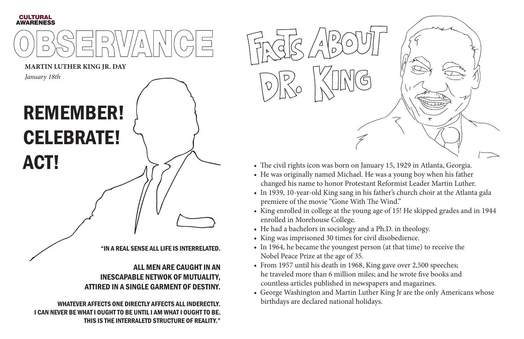

**MARTIN LUTHER KING JR. DAY**

"IN A REAL SENSE ALL LIFE IS INTERRELATED.

## ALL MEN ARE CAUGHT IN AN INESCAPABLE NETWOK OF MUTUALITY, ATTIRED IN A SINGLE GARMENT OF DESTINY.

WHATEVER AFFECTS ONE DIRECTLY AFFECTS ALL INDERECTLY. I CAN NEVER BE WHAT I OUGHT TO BE UNTIL I AM WHAT I OUGHT TO BE. THIS IS THE INTERRALETD STRUCTURE OF REALITY."



# REMEMBER! CELEBRATE! ACT!

*January 18th*

- The civil rights icon was born on January 15, 1929 in Atlanta, Georgia.
- He was originally named Michael. He was a young boy when his father changed his name to honor Protestant Reformist Leader Martin Luther.
- In 1939, 10-year-old King sang in his father's church choir at the Atlanta gala premiere of the movie "Gone With The Wind."
- King enrolled in college at the young age of 15! He skipped grades and in 1944 enrolled in Morehouse College.
- He had a bachelors in sociology and a Ph.D. in theology.
- King was imprisoned 30 times for civil disobedience.
- In 1964, he became the youngest person (at that time) to receive the Nobel Peace Prize at the age of 35.
- From 1957 until his death in 1968, King gave over 2,500 speeches; he traveled more than 6 million miles; and he wrote five books and countless articles published in newspapers and magazines.
- George Washington and Martin Luther King Jr are the only Americans whose birthdays are declared national holidays.